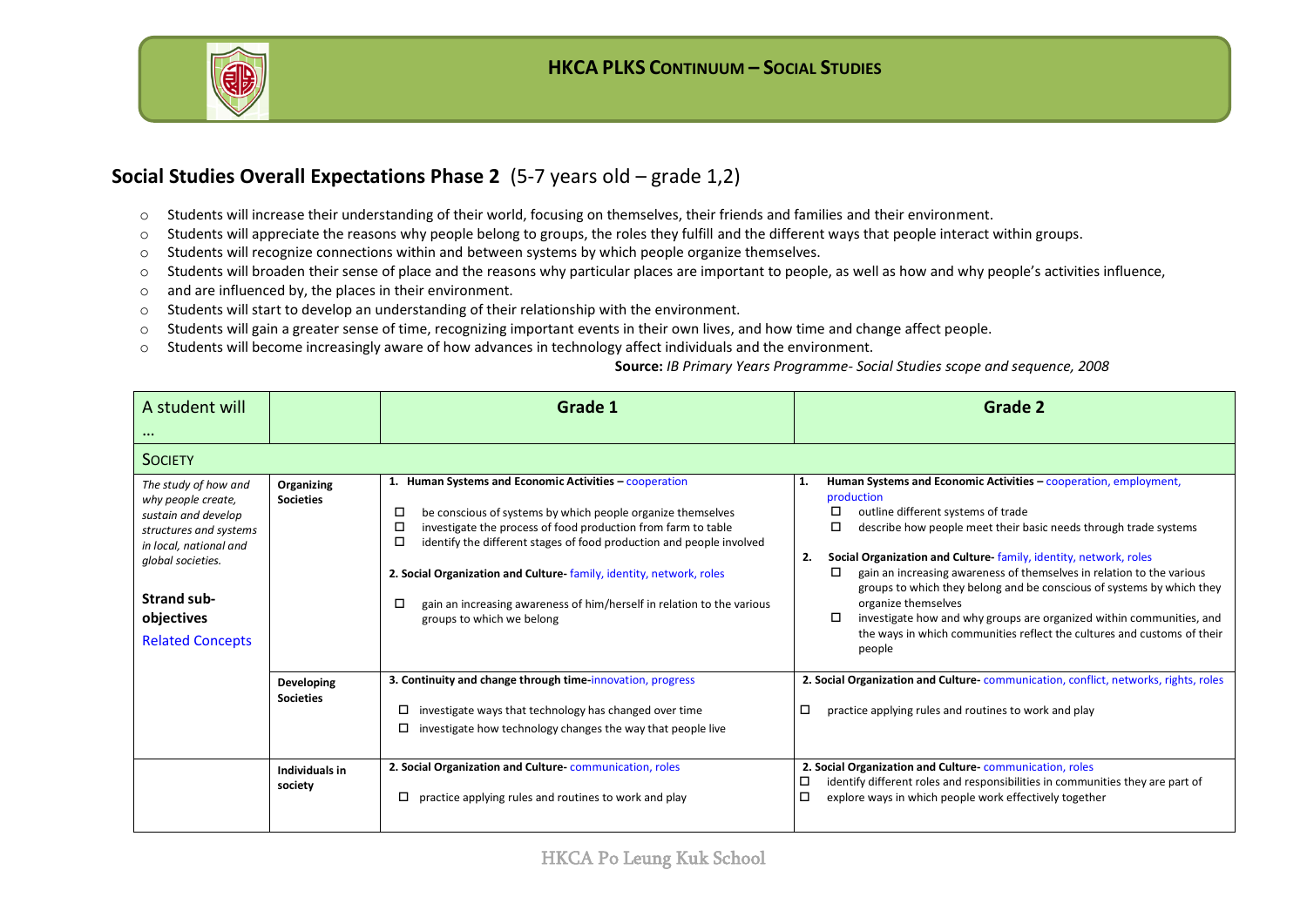

#### **Social Studies Overall Expectations Phase 2** (5-7 years old – grade 1,2)

- o Students will increase their understanding of their world, focusing on themselves, their friends and families and their environment.
- o Students will appreciate the reasons why people belong to groups, the roles they fulfill and the different ways that people interact within groups.
- $\circ$  Students will recognize connections within and between systems by which people organize themselves.
- o Students will broaden their sense of place and the reasons why particular places are important to people, as well as how and why people's activities influence,
- o and are influenced by, the places in their environment.
- o Students will start to develop an understanding of their relationship with the environment.
- o Students will gain a greater sense of time, recognizing important events in their own lives, and how time and change affect people.
- o Students will become increasingly aware of how advances in technology affect individuals and the environment.

#### **Source:** *IB Primary Years Programme- Social Studies scope and sequence, 2008*

| A student will<br>$\cdots$                                                                                                                                                                         |                                | Grade 1                                                                                                                                                                                                                                                                                                                                                                                                                                                          | Grade 2                                                                                                                                                                                                                                                                                                                                                                                                                                                                                                                                                                                                                            |
|----------------------------------------------------------------------------------------------------------------------------------------------------------------------------------------------------|--------------------------------|------------------------------------------------------------------------------------------------------------------------------------------------------------------------------------------------------------------------------------------------------------------------------------------------------------------------------------------------------------------------------------------------------------------------------------------------------------------|------------------------------------------------------------------------------------------------------------------------------------------------------------------------------------------------------------------------------------------------------------------------------------------------------------------------------------------------------------------------------------------------------------------------------------------------------------------------------------------------------------------------------------------------------------------------------------------------------------------------------------|
| <b>SOCIETY</b>                                                                                                                                                                                     |                                |                                                                                                                                                                                                                                                                                                                                                                                                                                                                  |                                                                                                                                                                                                                                                                                                                                                                                                                                                                                                                                                                                                                                    |
| The study of how and<br>why people create,<br>sustain and develop<br>structures and systems<br>in local, national and<br>global societies.<br>Strand sub-<br>objectives<br><b>Related Concepts</b> | Organizing<br><b>Societies</b> | 1. Human Systems and Economic Activities - cooperation<br>be conscious of systems by which people organize themselves<br>□<br>investigate the process of food production from farm to table<br>□<br>□<br>identify the different stages of food production and people involved<br>2. Social Organization and Culture family, identity, network, roles<br>gain an increasing awareness of him/herself in relation to the various<br>□<br>groups to which we belong | Human Systems and Economic Activities - cooperation, employment,<br>1.<br>production<br>outline different systems of trade<br>□<br>□<br>describe how people meet their basic needs through trade systems<br>Social Organization and Culture family, identity, network, roles<br>2.<br>□<br>gain an increasing awareness of themselves in relation to the various<br>groups to which they belong and be conscious of systems by which they<br>organize themselves<br>□<br>investigate how and why groups are organized within communities, and<br>the ways in which communities reflect the cultures and customs of their<br>people |
|                                                                                                                                                                                                    | Developing<br><b>Societies</b> | 3. Continuity and change through time innovation, progress<br>□<br>investigate ways that technology has changed over time<br>investigate how technology changes the way that people live<br>0                                                                                                                                                                                                                                                                    | 2. Social Organization and Culture-communication, conflict, networks, rights, roles<br>□<br>practice applying rules and routines to work and play                                                                                                                                                                                                                                                                                                                                                                                                                                                                                  |
|                                                                                                                                                                                                    | Individuals in<br>society      | 2. Social Organization and Culture-communication, roles<br>practice applying rules and routines to work and play                                                                                                                                                                                                                                                                                                                                                 | 2. Social Organization and Culture-communication, roles<br>identify different roles and responsibilities in communities they are part of<br>□<br>□<br>explore ways in which people work effectively together                                                                                                                                                                                                                                                                                                                                                                                                                       |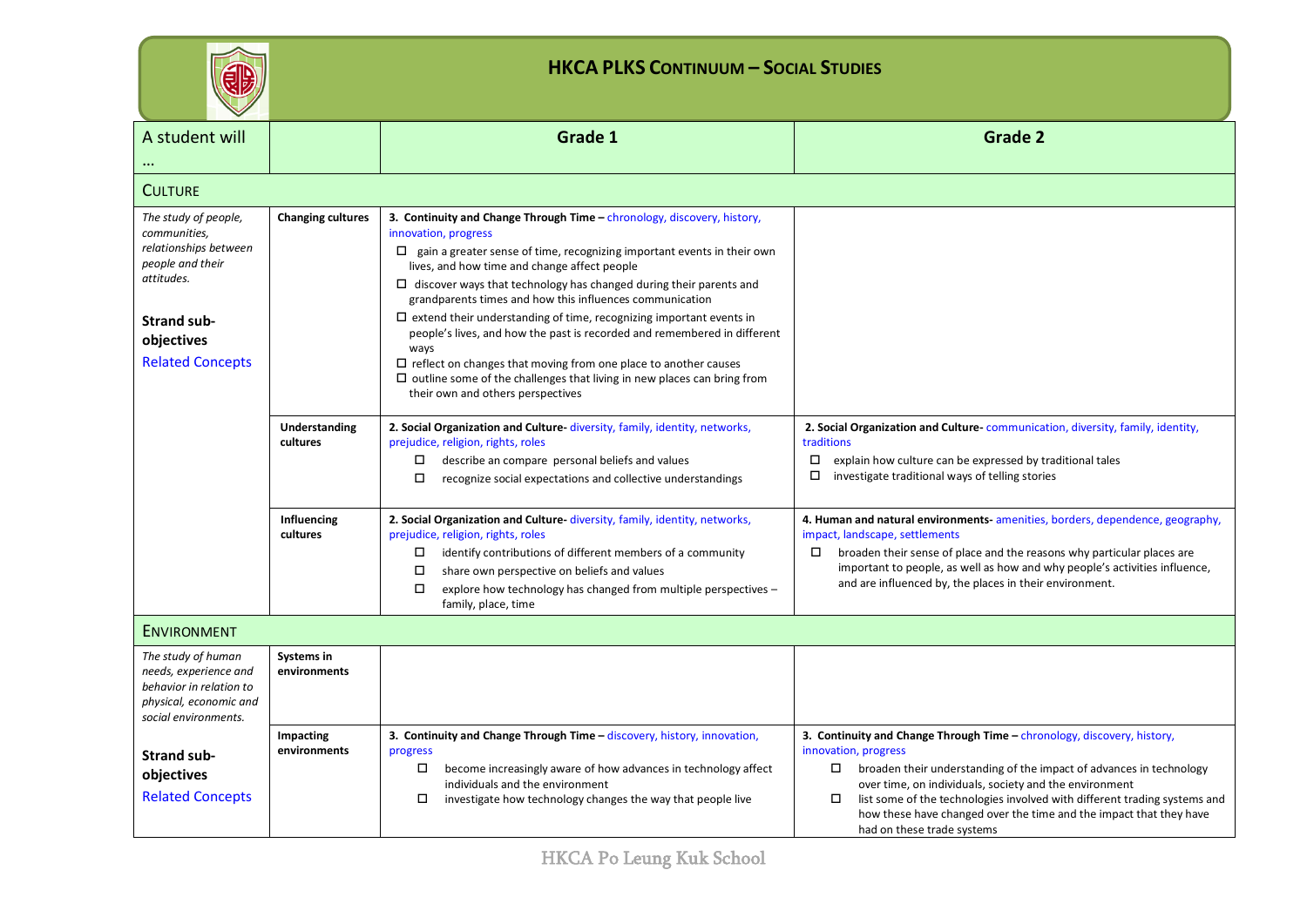| Ξ<br>╾ |
|--------|
|        |

| A student will                                                                                                           |                                   | Grade 1                                                                                                                                                                                                                                                                                                                                                                                                                                                  | <b>Grade 2</b>                                                                                                                                                                                                                                                                                                                                                                                                         |
|--------------------------------------------------------------------------------------------------------------------------|-----------------------------------|----------------------------------------------------------------------------------------------------------------------------------------------------------------------------------------------------------------------------------------------------------------------------------------------------------------------------------------------------------------------------------------------------------------------------------------------------------|------------------------------------------------------------------------------------------------------------------------------------------------------------------------------------------------------------------------------------------------------------------------------------------------------------------------------------------------------------------------------------------------------------------------|
| <b>CULTURE</b>                                                                                                           |                                   |                                                                                                                                                                                                                                                                                                                                                                                                                                                          |                                                                                                                                                                                                                                                                                                                                                                                                                        |
| The study of people,<br>communities,<br>relationships between<br>people and their<br>attitudes.                          | <b>Changing cultures</b>          | 3. Continuity and Change Through Time - chronology, discovery, history,<br>innovation, progress<br>$\Box$ gain a greater sense of time, recognizing important events in their own<br>lives, and how time and change affect people<br>$\Box$ discover ways that technology has changed during their parents and<br>grandparents times and how this influences communication<br>$\Box$ extend their understanding of time, recognizing important events in |                                                                                                                                                                                                                                                                                                                                                                                                                        |
| <b>Strand sub-</b><br>objectives<br><b>Related Concepts</b>                                                              |                                   | people's lives, and how the past is recorded and remembered in different<br>ways<br>$\Box$ reflect on changes that moving from one place to another causes<br>$\Box$ outline some of the challenges that living in new places can bring from<br>their own and others perspectives                                                                                                                                                                        |                                                                                                                                                                                                                                                                                                                                                                                                                        |
|                                                                                                                          | Understanding<br>cultures         | 2. Social Organization and Culture diversity, family, identity, networks,<br>prejudice, religion, rights, roles<br>describe an compare personal beliefs and values<br>$\Box$<br>recognize social expectations and collective understandings<br>□                                                                                                                                                                                                         | 2. Social Organization and Culture-communication, diversity, family, identity,<br>traditions<br>$\Box$<br>explain how culture can be expressed by traditional tales<br>investigate traditional ways of telling stories                                                                                                                                                                                                 |
|                                                                                                                          | Influencing<br>cultures           | 2. Social Organization and Culture diversity, family, identity, networks,<br>prejudice, religion, rights, roles<br>identify contributions of different members of a community<br>$\Box$<br>share own perspective on beliefs and values<br>□<br>$\Box$<br>explore how technology has changed from multiple perspectives -<br>family, place, time                                                                                                          | 4. Human and natural environments-amenities, borders, dependence, geography,<br>impact, landscape, settlements<br>broaden their sense of place and the reasons why particular places are<br>□<br>important to people, as well as how and why people's activities influence,<br>and are influenced by, the places in their environment.                                                                                 |
| <b>ENVIRONMENT</b>                                                                                                       |                                   |                                                                                                                                                                                                                                                                                                                                                                                                                                                          |                                                                                                                                                                                                                                                                                                                                                                                                                        |
| The study of human<br>needs, experience and<br>behavior in relation to<br>physical, economic and<br>social environments. | <b>Systems in</b><br>environments |                                                                                                                                                                                                                                                                                                                                                                                                                                                          |                                                                                                                                                                                                                                                                                                                                                                                                                        |
| <b>Strand sub-</b><br>objectives<br><b>Related Concepts</b>                                                              | Impacting<br>environments         | 3. Continuity and Change Through Time - discovery, history, innovation,<br>progress<br>become increasingly aware of how advances in technology affect<br>□<br>individuals and the environment<br>investigate how technology changes the way that people live<br>□                                                                                                                                                                                        | 3. Continuity and Change Through Time - chronology, discovery, history,<br>innovation, progress<br>broaden their understanding of the impact of advances in technology<br>over time, on individuals, society and the environment<br>list some of the technologies involved with different trading systems and<br>□<br>how these have changed over the time and the impact that they have<br>had on these trade systems |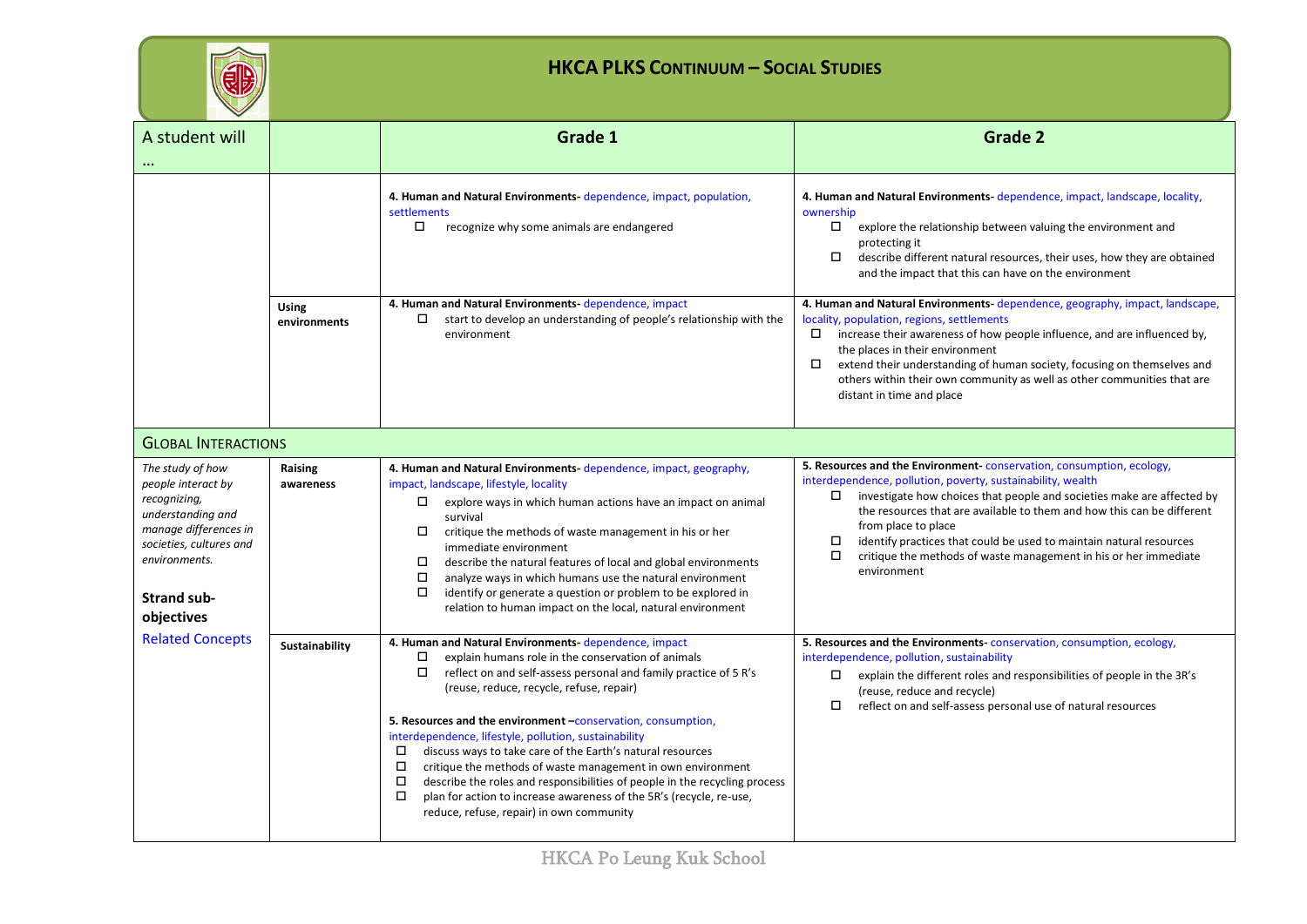| - |
|---|
| – |
|   |

| A student will                                                                                                                                                                       |                            | Grade 1                                                                                                                                                                                                                                                                                                                                                                                                                                                                                                                                                                                                                                                                                                                                  | <b>Grade 2</b>                                                                                                                                                                                                                                                                                                                                                                                                                                                                                         |  |  |
|--------------------------------------------------------------------------------------------------------------------------------------------------------------------------------------|----------------------------|------------------------------------------------------------------------------------------------------------------------------------------------------------------------------------------------------------------------------------------------------------------------------------------------------------------------------------------------------------------------------------------------------------------------------------------------------------------------------------------------------------------------------------------------------------------------------------------------------------------------------------------------------------------------------------------------------------------------------------------|--------------------------------------------------------------------------------------------------------------------------------------------------------------------------------------------------------------------------------------------------------------------------------------------------------------------------------------------------------------------------------------------------------------------------------------------------------------------------------------------------------|--|--|
|                                                                                                                                                                                      |                            | 4. Human and Natural Environments-dependence, impact, population,<br>settlements<br>□<br>recognize why some animals are endangered                                                                                                                                                                                                                                                                                                                                                                                                                                                                                                                                                                                                       | 4. Human and Natural Environments-dependence, impact, landscape, locality,<br>ownership<br>$\Box$<br>explore the relationship between valuing the environment and<br>protecting it<br>$\Box$<br>describe different natural resources, their uses, how they are obtained<br>and the impact that this can have on the environment                                                                                                                                                                        |  |  |
|                                                                                                                                                                                      | Using<br>environments      | 4. Human and Natural Environments-dependence, impact<br>start to develop an understanding of people's relationship with the<br>□<br>environment                                                                                                                                                                                                                                                                                                                                                                                                                                                                                                                                                                                          | 4. Human and Natural Environments-dependence, geography, impact, landscape,<br>locality, population, regions, settlements<br>increase their awareness of how people influence, and are influenced by,<br>D.<br>the places in their environment<br>extend their understanding of human society, focusing on themselves and<br>$\Box$<br>others within their own community as well as other communities that are<br>distant in time and place                                                            |  |  |
|                                                                                                                                                                                      | <b>GLOBAL INTERACTIONS</b> |                                                                                                                                                                                                                                                                                                                                                                                                                                                                                                                                                                                                                                                                                                                                          |                                                                                                                                                                                                                                                                                                                                                                                                                                                                                                        |  |  |
| The study of how<br>people interact by<br>recognizing,<br>understanding and<br>manage differences in<br>societies, cultures and<br>environments.<br><b>Strand sub-</b><br>objectives | Raising<br>awareness       | 4. Human and Natural Environments-dependence, impact, geography,<br>impact, landscape, lifestyle, locality<br>□<br>explore ways in which human actions have an impact on animal<br>survival<br>□<br>critique the methods of waste management in his or her<br>immediate environment<br>$\Box$<br>describe the natural features of local and global environments<br>□<br>analyze ways in which humans use the natural environment<br>$\Box$<br>identify or generate a question or problem to be explored in<br>relation to human impact on the local, natural environment                                                                                                                                                                 | 5. Resources and the Environment conservation, consumption, ecology,<br>interdependence, pollution, poverty, sustainability, wealth<br>investigate how choices that people and societies make are affected by<br>$\Box$<br>the resources that are available to them and how this can be different<br>from place to place<br>identify practices that could be used to maintain natural resources<br>$\Box$<br>$\Box$<br>critique the methods of waste management in his or her immediate<br>environment |  |  |
| <b>Related Concepts</b>                                                                                                                                                              | Sustainability             | 4. Human and Natural Environments-dependence, impact<br>explain humans role in the conservation of animals<br>□<br>$\Box$<br>reflect on and self-assess personal and family practice of 5 R's<br>(reuse, reduce, recycle, refuse, repair)<br>5. Resources and the environment -conservation, consumption,<br>interdependence, lifestyle, pollution, sustainability<br>$\Box$<br>discuss ways to take care of the Earth's natural resources<br>$\Box$<br>critique the methods of waste management in own environment<br>describe the roles and responsibilities of people in the recycling process<br>$\Box$<br>$\Box$<br>plan for action to increase awareness of the 5R's (recycle, re-use,<br>reduce, refuse, repair) in own community | 5. Resources and the Environments conservation, consumption, ecology,<br>interdependence, pollution, sustainability<br>explain the different roles and responsibilities of people in the 3R's<br>□<br>(reuse, reduce and recycle)<br>reflect on and self-assess personal use of natural resources<br>$\Box$                                                                                                                                                                                            |  |  |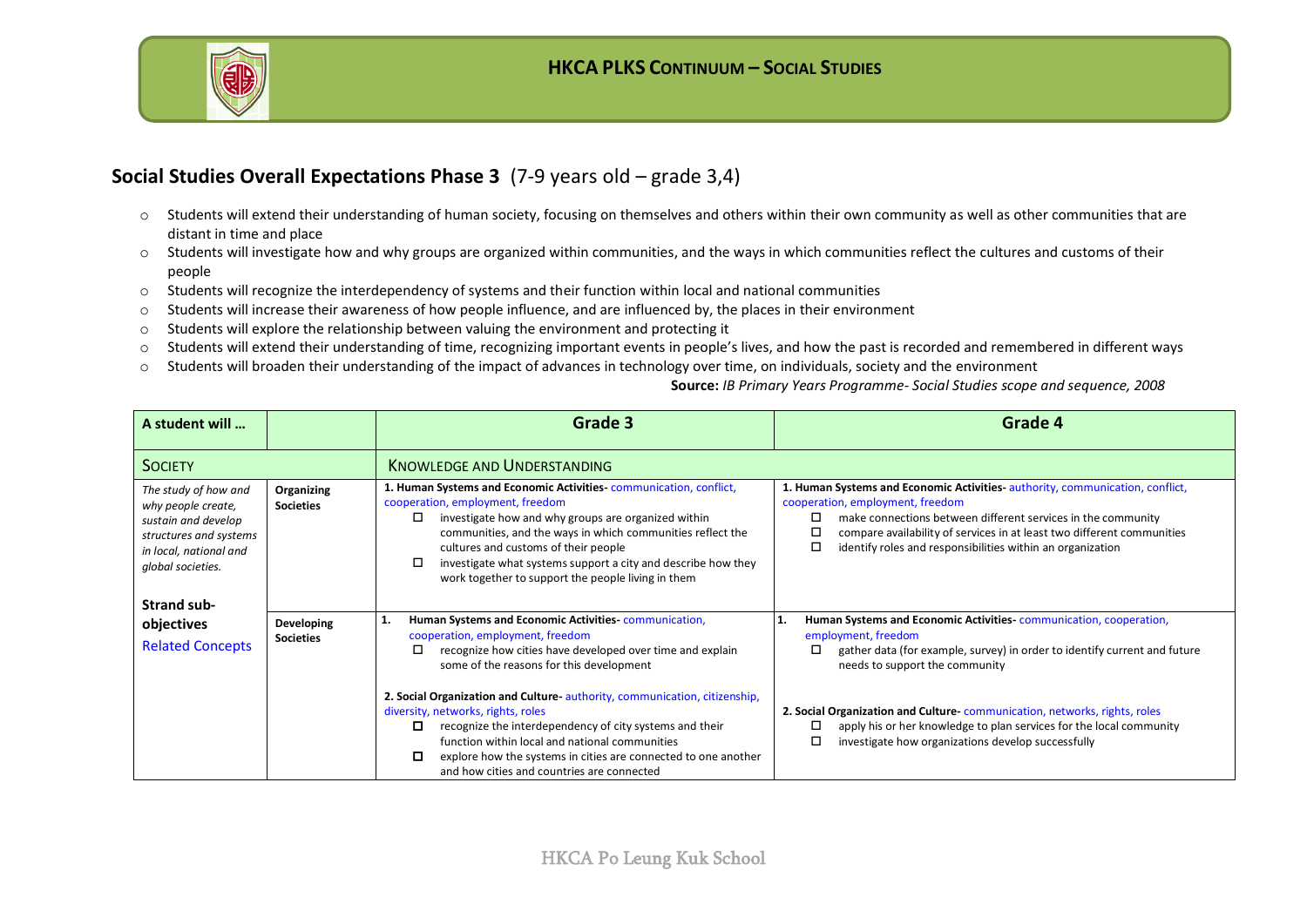

#### **Social Studies Overall Expectations Phase 3** (7-9 years old – grade 3,4)

- o Students will extend their understanding of human society, focusing on themselves and others within their own community as well as other communities that are distant in time and place
- o Students will investigate how and why groups are organized within communities, and the ways in which communities reflect the cultures and customs of their people
- o Students will recognize the interdependency of systems and their function within local and national communities
- $\circ$  Students will increase their awareness of how people influence, and are influenced by, the places in their environment
- o Students will explore the relationship between valuing the environment and protecting it
- o Students will extend their understanding of time, recognizing important events in people's lives, and how the past is recorded and remembered in different ways
- o Students will broaden their understanding of the impact of advances in technology over time, on individuals, society and the environment

**Source:** *IB Primary Years Programme- Social Studies scope and sequence, 2008*

| A student will                                                                                                                             |                                | Grade 3                                                                                                                                                                                                                                                                                                                                                                                        | Grade 4                                                                                                                                                                                                                                                                                                                                 |
|--------------------------------------------------------------------------------------------------------------------------------------------|--------------------------------|------------------------------------------------------------------------------------------------------------------------------------------------------------------------------------------------------------------------------------------------------------------------------------------------------------------------------------------------------------------------------------------------|-----------------------------------------------------------------------------------------------------------------------------------------------------------------------------------------------------------------------------------------------------------------------------------------------------------------------------------------|
| <b>SOCIETY</b>                                                                                                                             |                                | <b>KNOWLEDGE AND UNDERSTANDING</b>                                                                                                                                                                                                                                                                                                                                                             |                                                                                                                                                                                                                                                                                                                                         |
| The study of how and<br>why people create,<br>sustain and develop<br>structures and systems<br>in local, national and<br>global societies. | Organizing<br><b>Societies</b> | 1. Human Systems and Economic Activities communication, conflict,<br>cooperation, employment, freedom<br>investigate how and why groups are organized within<br>□<br>communities, and the ways in which communities reflect the<br>cultures and customs of their people<br>investigate what systems support a city and describe how they<br>work together to support the people living in them | 1. Human Systems and Economic Activities authority, communication, conflict,<br>cooperation, employment, freedom<br>□<br>make connections between different services in the community<br>compare availability of services in at least two different communities<br>□<br>□<br>identify roles and responsibilities within an organization |
| Strand sub-<br>objectives<br><b>Related Concepts</b>                                                                                       | Developing<br><b>Societies</b> | Human Systems and Economic Activities-communication,<br>1.<br>cooperation, employment, freedom<br>□<br>recognize how cities have developed over time and explain<br>some of the reasons for this development                                                                                                                                                                                   | Human Systems and Economic Activities communication, cooperation,<br>11.<br>employment, freedom<br>gather data (for example, survey) in order to identify current and future<br>□<br>needs to support the community                                                                                                                     |
|                                                                                                                                            |                                | 2. Social Organization and Culture-authority, communication, citizenship,<br>diversity, networks, rights, roles<br>o<br>recognize the interdependency of city systems and their<br>function within local and national communities<br>explore how the systems in cities are connected to one another<br>0<br>and how cities and countries are connected                                         | 2. Social Organization and Culture communication, networks, rights, roles<br>apply his or her knowledge to plan services for the local community<br>□<br>□<br>investigate how organizations develop successfully                                                                                                                        |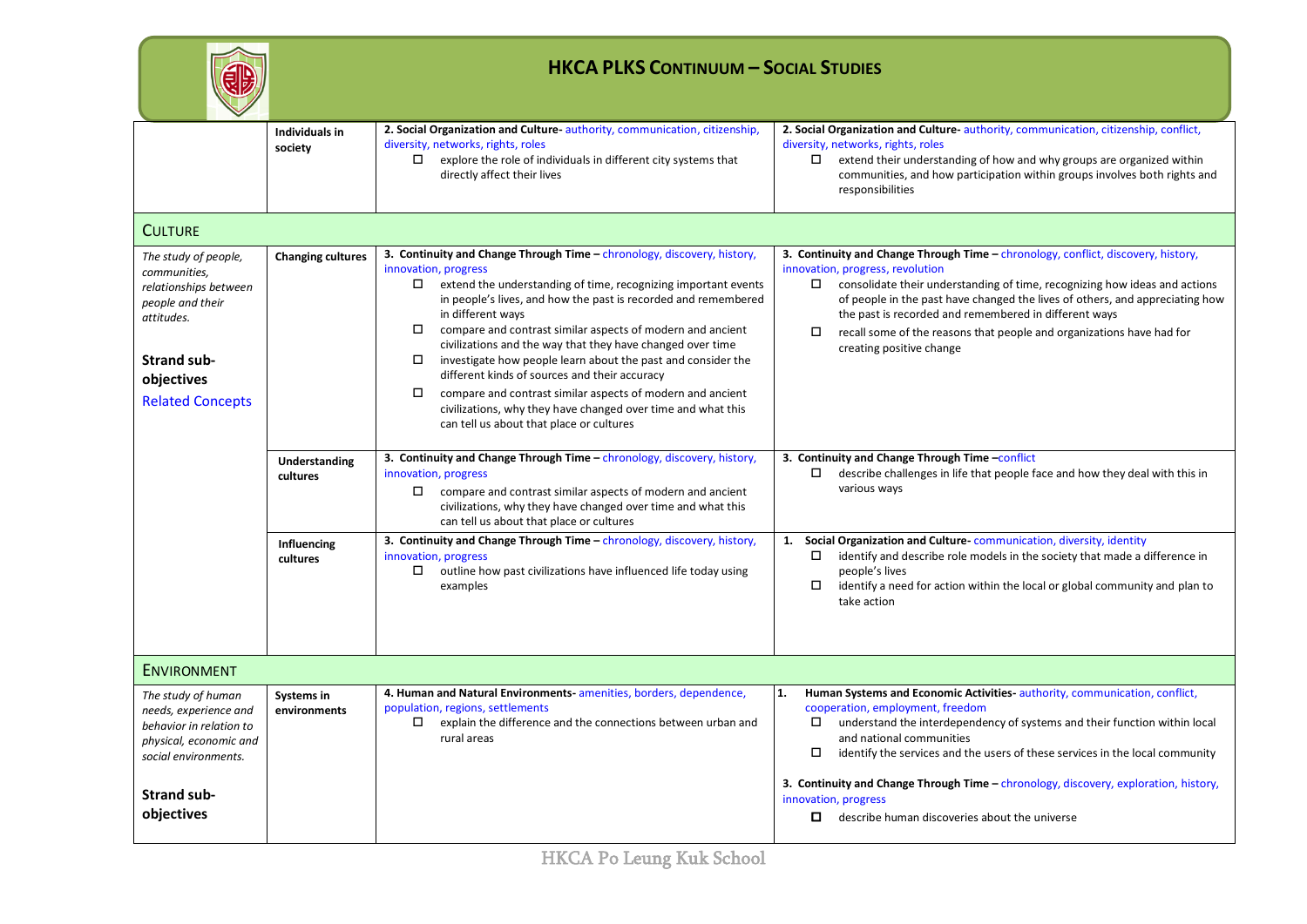|                                                                                                                                                                | <b>HKCA PLKS CONTINUUM - SOCIAL STUDIES</b> |                                                                                                                                                                                                                                                                                                                                                                                                                                                                                                                                                                                                                                                                                                                   |                                                                                                                                                                                                                                                                                                                                                                                                                                                                    |  |
|----------------------------------------------------------------------------------------------------------------------------------------------------------------|---------------------------------------------|-------------------------------------------------------------------------------------------------------------------------------------------------------------------------------------------------------------------------------------------------------------------------------------------------------------------------------------------------------------------------------------------------------------------------------------------------------------------------------------------------------------------------------------------------------------------------------------------------------------------------------------------------------------------------------------------------------------------|--------------------------------------------------------------------------------------------------------------------------------------------------------------------------------------------------------------------------------------------------------------------------------------------------------------------------------------------------------------------------------------------------------------------------------------------------------------------|--|
|                                                                                                                                                                | <b>Individuals in</b><br>society            | 2. Social Organization and Culture authority, communication, citizenship,<br>diversity, networks, rights, roles<br>$\Box$ explore the role of individuals in different city systems that<br>directly affect their lives                                                                                                                                                                                                                                                                                                                                                                                                                                                                                           | 2. Social Organization and Culture-authority, communication, citizenship, conflict,<br>diversity, networks, rights, roles<br>$\Box$ extend their understanding of how and why groups are organized within<br>communities, and how participation within groups involves both rights and<br>responsibilities                                                                                                                                                         |  |
| <b>CULTURE</b>                                                                                                                                                 |                                             |                                                                                                                                                                                                                                                                                                                                                                                                                                                                                                                                                                                                                                                                                                                   |                                                                                                                                                                                                                                                                                                                                                                                                                                                                    |  |
| The study of people,<br>communities,<br>relationships between<br>people and their<br>attitudes.<br><b>Strand sub-</b><br>objectives<br><b>Related Concepts</b> | <b>Changing cultures</b>                    | 3. Continuity and Change Through Time - chronology, discovery, history,<br>innovation, progress<br>$\Box$ extend the understanding of time, recognizing important events<br>in people's lives, and how the past is recorded and remembered<br>in different ways<br>$\Box$ compare and contrast similar aspects of modern and ancient<br>civilizations and the way that they have changed over time<br>investigate how people learn about the past and consider the<br>$\Box$<br>different kinds of sources and their accuracy<br>compare and contrast similar aspects of modern and ancient<br>$\Box$<br>civilizations, why they have changed over time and what this<br>can tell us about that place or cultures | 3. Continuity and Change Through Time - chronology, conflict, discovery, history,<br>innovation, progress, revolution<br>$\Box$ consolidate their understanding of time, recognizing how ideas and actions<br>of people in the past have changed the lives of others, and appreciating how<br>the past is recorded and remembered in different ways<br>recall some of the reasons that people and organizations have had for<br>$\Box$<br>creating positive change |  |
|                                                                                                                                                                | Understanding<br>cultures                   | 3. Continuity and Change Through Time - chronology, discovery, history,<br>innovation, progress<br>$\Box$ compare and contrast similar aspects of modern and ancient<br>civilizations, why they have changed over time and what this<br>can tell us about that place or cultures                                                                                                                                                                                                                                                                                                                                                                                                                                  | 3. Continuity and Change Through Time - conflict<br>describe challenges in life that people face and how they deal with this in<br>$\Box$<br>various ways                                                                                                                                                                                                                                                                                                          |  |
|                                                                                                                                                                | Influencing<br>cultures                     | 3. Continuity and Change Through Time - chronology, discovery, history,<br>innovation, progress<br>$\Box$ outline how past civilizations have influenced life today using<br>examples                                                                                                                                                                                                                                                                                                                                                                                                                                                                                                                             | Social Organization and Culture-communication, diversity, identity<br>1.<br>$\Box$ identify and describe role models in the society that made a difference in<br>people's lives<br>$\Box$<br>identify a need for action within the local or global community and plan to<br>take action                                                                                                                                                                            |  |
| ENVIRONMENT                                                                                                                                                    |                                             |                                                                                                                                                                                                                                                                                                                                                                                                                                                                                                                                                                                                                                                                                                                   |                                                                                                                                                                                                                                                                                                                                                                                                                                                                    |  |
| The study of human<br>needs, experience and<br>behavior in relation to<br>physical, economic and<br>social environments.                                       | Systems in<br>environments                  | 4. Human and Natural Environments-amenities, borders, dependence,<br>population, regions, settlements<br>explain the difference and the connections between urban and<br>$\Box$<br>rural areas                                                                                                                                                                                                                                                                                                                                                                                                                                                                                                                    | Human Systems and Economic Activities-authority, communication, conflict,<br>1.<br>cooperation, employment, freedom<br>$\square$ understand the interdependency of systems and their function within local<br>and national communities<br>$\Box$<br>identify the services and the users of these services in the local community<br>3. Continuity and Change Through Time - chronology, discovery, exploration, history,                                           |  |
| <b>Strand sub-</b><br>objectives                                                                                                                               |                                             |                                                                                                                                                                                                                                                                                                                                                                                                                                                                                                                                                                                                                                                                                                                   | innovation, progress<br>$\Box$ describe human discoveries about the universe                                                                                                                                                                                                                                                                                                                                                                                       |  |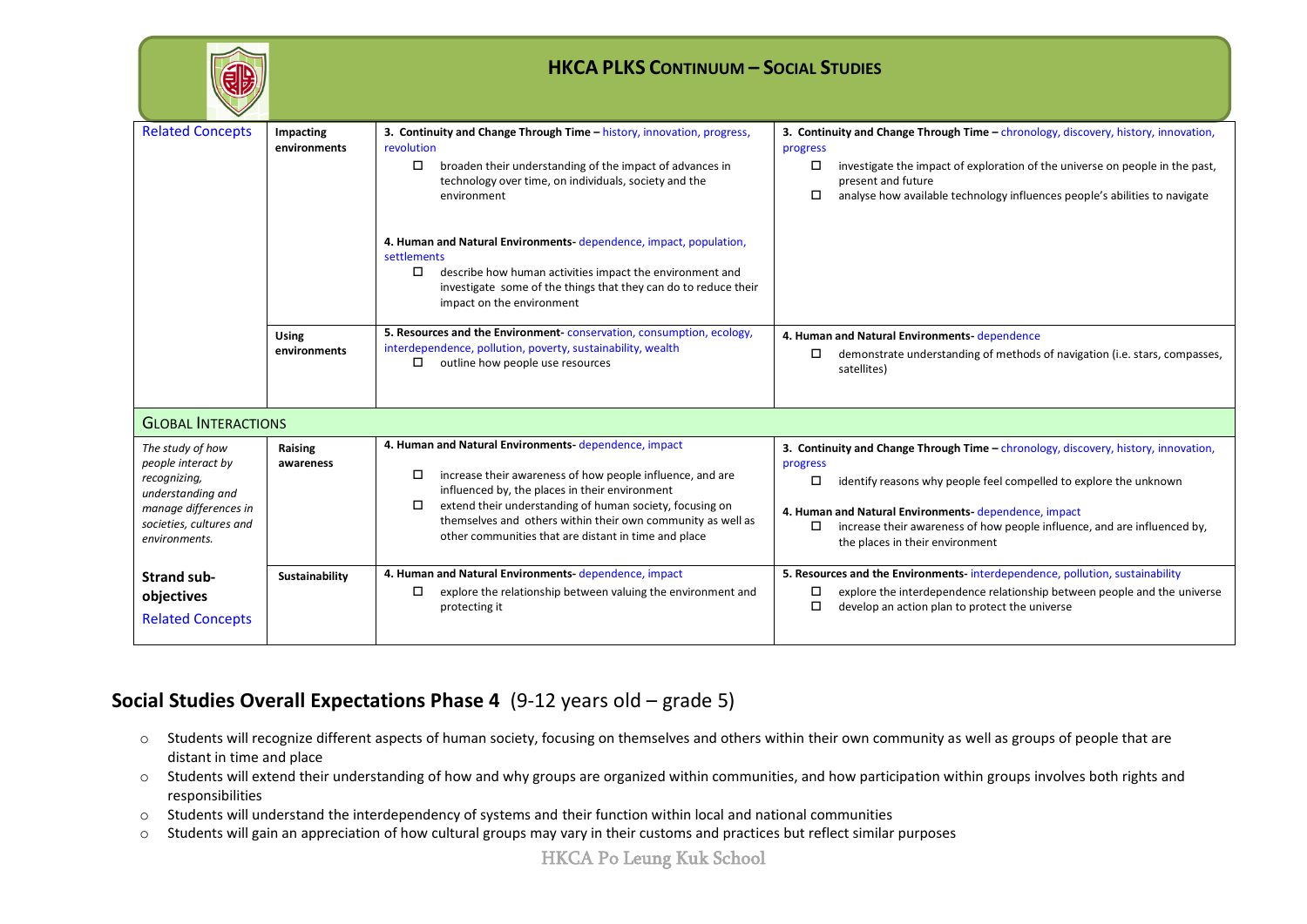|                                                                                                                                                  | <b>HKCA PLKS CONTINUUM - SOCIAL STUDIES</b> |                                                                                                                                                                                                                                                                                                                                                                                                                                                                                         |                                                                                                                                                                                                                                                                                                                                                                 |  |
|--------------------------------------------------------------------------------------------------------------------------------------------------|---------------------------------------------|-----------------------------------------------------------------------------------------------------------------------------------------------------------------------------------------------------------------------------------------------------------------------------------------------------------------------------------------------------------------------------------------------------------------------------------------------------------------------------------------|-----------------------------------------------------------------------------------------------------------------------------------------------------------------------------------------------------------------------------------------------------------------------------------------------------------------------------------------------------------------|--|
| <b>Related Concepts</b>                                                                                                                          | Impacting<br>environments                   | 3. Continuity and Change Through Time - history, innovation, progress,<br>revolution<br>□<br>broaden their understanding of the impact of advances in<br>technology over time, on individuals, society and the<br>environment<br>4. Human and Natural Environments-dependence, impact, population,<br>settlements<br>describe how human activities impact the environment and<br>$\Box$<br>investigate some of the things that they can do to reduce their<br>impact on the environment | 3. Continuity and Change Through Time - chronology, discovery, history, innovation,<br>progress<br>$\Box$<br>investigate the impact of exploration of the universe on people in the past,<br>present and future<br>□<br>analyse how available technology influences people's abilities to navigate                                                              |  |
|                                                                                                                                                  | <b>Using</b><br>environments                | 5. Resources and the Environment conservation, consumption, ecology,<br>interdependence, pollution, poverty, sustainability, wealth<br>outline how people use resources<br>$\Box$                                                                                                                                                                                                                                                                                                       | 4. Human and Natural Environments dependence<br>demonstrate understanding of methods of navigation (i.e. stars, compasses,<br>$\Box$<br>satellites)                                                                                                                                                                                                             |  |
| <b>GLOBAL INTERACTIONS</b>                                                                                                                       |                                             |                                                                                                                                                                                                                                                                                                                                                                                                                                                                                         |                                                                                                                                                                                                                                                                                                                                                                 |  |
| The study of how<br>people interact by<br>recognizing,<br>understanding and<br>manage differences in<br>societies, cultures and<br>environments. | Raising<br>awareness                        | 4. Human and Natural Environments-dependence, impact<br>increase their awareness of how people influence, and are<br>$\Box$<br>influenced by, the places in their environment<br>extend their understanding of human society, focusing on<br>□<br>themselves and others within their own community as well as<br>other communities that are distant in time and place                                                                                                                   | 3. Continuity and Change Through Time - chronology, discovery, history, innovation,<br>progress<br>$\Box$<br>identify reasons why people feel compelled to explore the unknown<br>4. Human and Natural Environments-dependence, impact<br>increase their awareness of how people influence, and are influenced by,<br>$\Box$<br>the places in their environment |  |
| <b>Strand sub-</b><br>objectives<br><b>Related Concepts</b>                                                                                      | Sustainability                              | 4. Human and Natural Environments-dependence, impact<br>$\Box$<br>explore the relationship between valuing the environment and<br>protecting it                                                                                                                                                                                                                                                                                                                                         | 5. Resources and the Environments-interdependence, pollution, sustainability<br>explore the interdependence relationship between people and the universe<br>□<br>□<br>develop an action plan to protect the universe                                                                                                                                            |  |

#### **Social Studies Overall Expectations Phase 4** (9-12 years old – grade 5)

- o Students will recognize different aspects of human society, focusing on themselves and others within their own community as well as groups of people that are distant in time and place
- o Students will extend their understanding of how and why groups are organized within communities, and how participation within groups involves both rights and responsibilities
- o Students will understand the interdependency of systems and their function within local and national communities
- o Students will gain an appreciation of how cultural groups may vary in their customs and practices but reflect similar purposes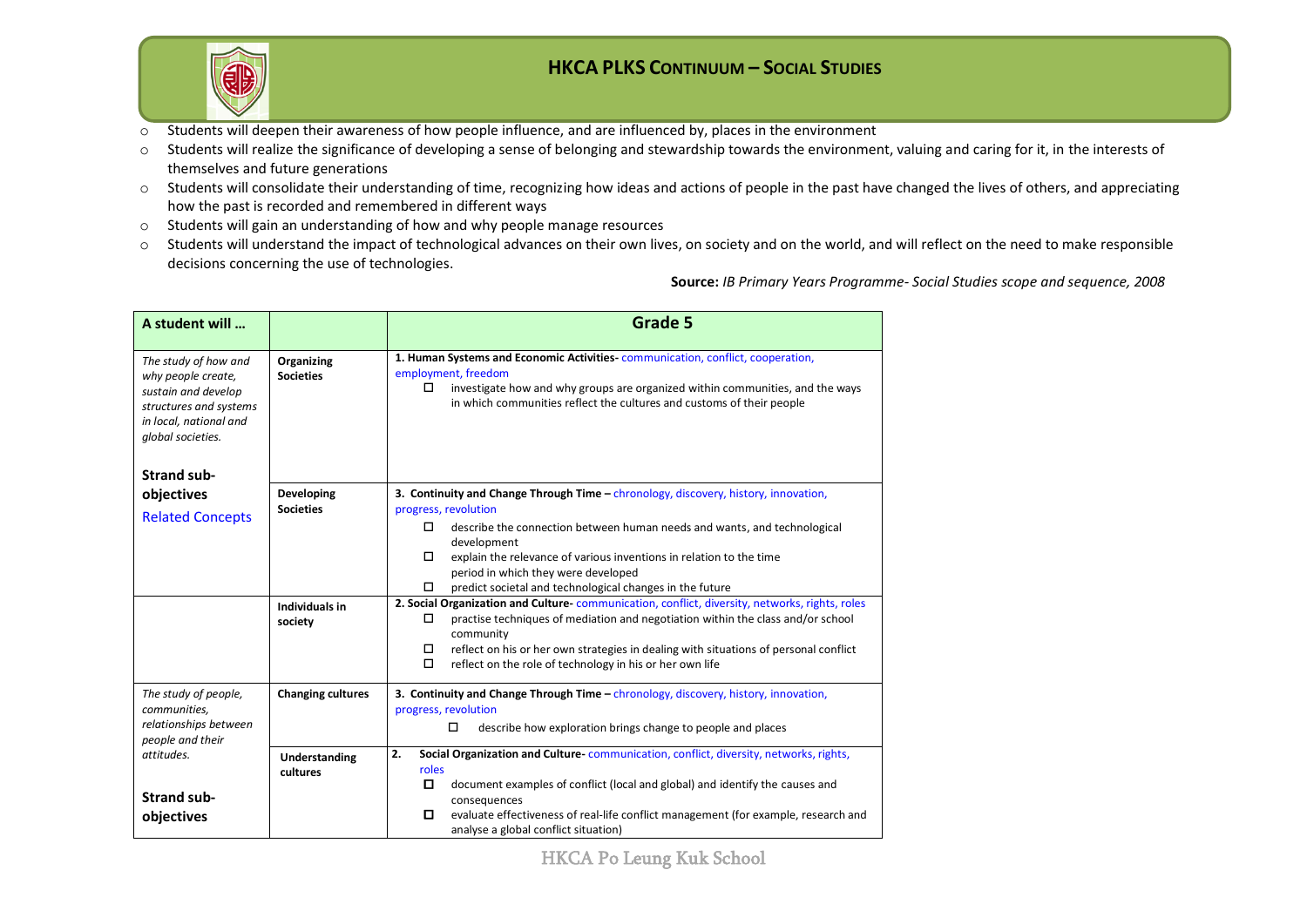

- o Students will deepen their awareness of how people influence, and are influenced by, places in the environment
- $\circ$  Students will realize the significance of developing a sense of belonging and stewardship towards the environment, valuing and caring for it, in the interests of themselves and future generations
- o Students will consolidate their understanding of time, recognizing how ideas and actions of people in the past have changed the lives of others, and appreciating how the past is recorded and remembered in different ways
- o Students will gain an understanding of how and why people manage resources
- o Students will understand the impact of technological advances on their own lives, on society and on the world, and will reflect on the need to make responsible decisions concerning the use of technologies.

**Source:** *IB Primary Years Programme- Social Studies scope and sequence, 2008*

| A student will                                                                                                                             |                                | <b>Grade 5</b>                                                                                                                                                                                                                                                       |  |  |
|--------------------------------------------------------------------------------------------------------------------------------------------|--------------------------------|----------------------------------------------------------------------------------------------------------------------------------------------------------------------------------------------------------------------------------------------------------------------|--|--|
| The study of how and<br>why people create,<br>sustain and develop<br>structures and systems<br>in local, national and<br>global societies. | Organizing<br><b>Societies</b> | 1. Human Systems and Economic Activities-communication, conflict, cooperation,<br>employment, freedom<br>investigate how and why groups are organized within communities, and the ways<br>□<br>in which communities reflect the cultures and customs of their people |  |  |
| <b>Strand sub-</b>                                                                                                                         |                                |                                                                                                                                                                                                                                                                      |  |  |
| objectives                                                                                                                                 | Developing<br><b>Societies</b> | 3. Continuity and Change Through Time - chronology, discovery, history, innovation,<br>progress, revolution                                                                                                                                                          |  |  |
| <b>Related Concepts</b>                                                                                                                    |                                | □<br>describe the connection between human needs and wants, and technological<br>development                                                                                                                                                                         |  |  |
|                                                                                                                                            |                                | □<br>explain the relevance of various inventions in relation to the time<br>period in which they were developed                                                                                                                                                      |  |  |
|                                                                                                                                            |                                | □<br>predict societal and technological changes in the future                                                                                                                                                                                                        |  |  |
|                                                                                                                                            | Individuals in<br>society      | 2. Social Organization and Culture-communication, conflict, diversity, networks, rights, roles<br>practise techniques of mediation and negotiation within the class and/or school<br>□<br>community                                                                  |  |  |
|                                                                                                                                            |                                | reflect on his or her own strategies in dealing with situations of personal conflict<br>□<br>□<br>reflect on the role of technology in his or her own life                                                                                                           |  |  |
| The study of people,<br>communities,                                                                                                       | <b>Changing cultures</b>       | 3. Continuity and Change Through Time - chronology, discovery, history, innovation,<br>progress, revolution                                                                                                                                                          |  |  |
| relationships between<br>people and their                                                                                                  |                                | П<br>describe how exploration brings change to people and places                                                                                                                                                                                                     |  |  |
| attitudes.                                                                                                                                 | Understanding<br>cultures      | 2.<br>Social Organization and Culture-communication, conflict, diversity, networks, rights,<br>roles                                                                                                                                                                 |  |  |
| <b>Strand sub-</b>                                                                                                                         |                                | о<br>document examples of conflict (local and global) and identify the causes and<br>consequences                                                                                                                                                                    |  |  |
| objectives                                                                                                                                 |                                | evaluate effectiveness of real-life conflict management (for example, research and<br>о<br>analyse a global conflict situation)                                                                                                                                      |  |  |

HKCA Po Leung Kuk School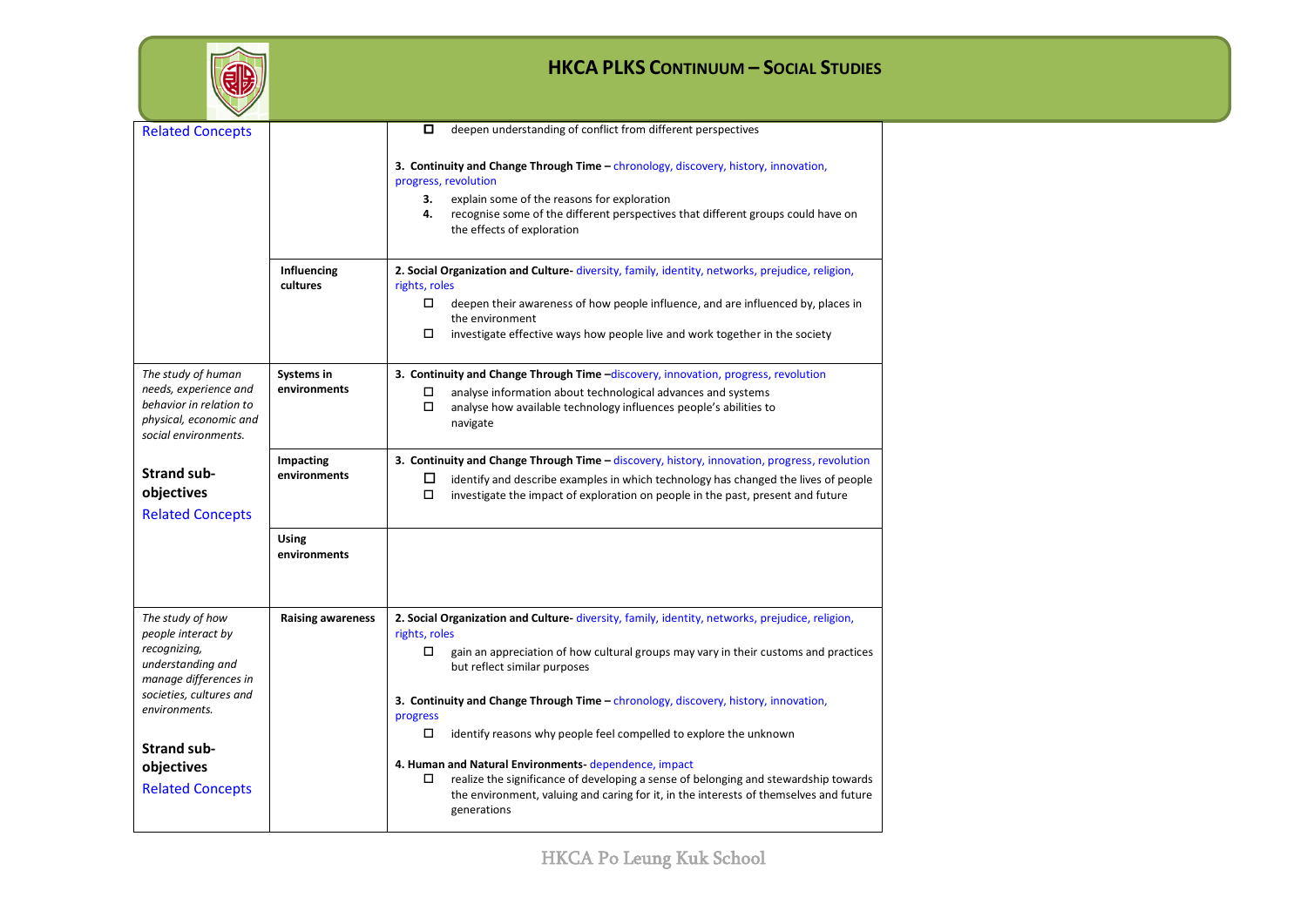|                                                                                                                                                                                                                 |                              | <b>HKCA PLKS CONTINUUM - SOCIAL STUDIES</b>                                                                                                                                                                                                                                                                                                                                                                                                                                                                                                                                                                                                                                             |
|-----------------------------------------------------------------------------------------------------------------------------------------------------------------------------------------------------------------|------------------------------|-----------------------------------------------------------------------------------------------------------------------------------------------------------------------------------------------------------------------------------------------------------------------------------------------------------------------------------------------------------------------------------------------------------------------------------------------------------------------------------------------------------------------------------------------------------------------------------------------------------------------------------------------------------------------------------------|
| <b>Related Concepts</b>                                                                                                                                                                                         |                              | deepen understanding of conflict from different perspectives<br>0<br><b>3. Continuity and Change Through Time - chronology, discovery, history, innovation,</b><br>progress, revolution<br>explain some of the reasons for exploration<br>3.<br>4.<br>recognise some of the different perspectives that different groups could have on<br>the effects of exploration                                                                                                                                                                                                                                                                                                                    |
|                                                                                                                                                                                                                 | Influencing<br>cultures      | 2. Social Organization and Culture- diversity, family, identity, networks, prejudice, religion,<br>rights, roles<br>0<br>deepen their awareness of how people influence, and are influenced by, places in<br>the environment<br>$\Box$<br>investigate effective ways how people live and work together in the society                                                                                                                                                                                                                                                                                                                                                                   |
| The study of human<br>needs, experience and<br>behavior in relation to<br>physical, economic and<br>social environments.                                                                                        | Systems in<br>environments   | 3. Continuity and Change Through Time -discovery, innovation, progress, revolution<br>□<br>analyse information about technological advances and systems<br>0<br>analyse how available technology influences people's abilities to<br>navigate                                                                                                                                                                                                                                                                                                                                                                                                                                           |
| <b>Strand sub-</b><br>objectives<br><b>Related Concepts</b>                                                                                                                                                     | Impacting<br>environments    | 3. Continuity and Change Through Time - discovery, history, innovation, progress, revolution<br>□<br>identify and describe examples in which technology has changed the lives of people<br>0<br>investigate the impact of exploration on people in the past, present and future                                                                                                                                                                                                                                                                                                                                                                                                         |
|                                                                                                                                                                                                                 | <b>Using</b><br>environments |                                                                                                                                                                                                                                                                                                                                                                                                                                                                                                                                                                                                                                                                                         |
| The study of how<br>people interact by<br>recognizing,<br>understanding and<br>manage differences in<br>societies, cultures and<br>environments.<br><b>Strand sub-</b><br>objectives<br><b>Related Concepts</b> | <b>Raising awareness</b>     | 2. Social Organization and Culture- diversity, family, identity, networks, prejudice, religion,<br>rights, roles<br>0<br>gain an appreciation of how cultural groups may vary in their customs and practices<br>but reflect similar purposes<br><b>3. Continuity and Change Through Time - chronology, discovery, history, innovation,</b><br>progress<br>□<br>identify reasons why people feel compelled to explore the unknown<br>4. Human and Natural Environments dependence, impact<br>realize the significance of developing a sense of belonging and stewardship towards<br>the environment, valuing and caring for it, in the interests of themselves and future<br>generations |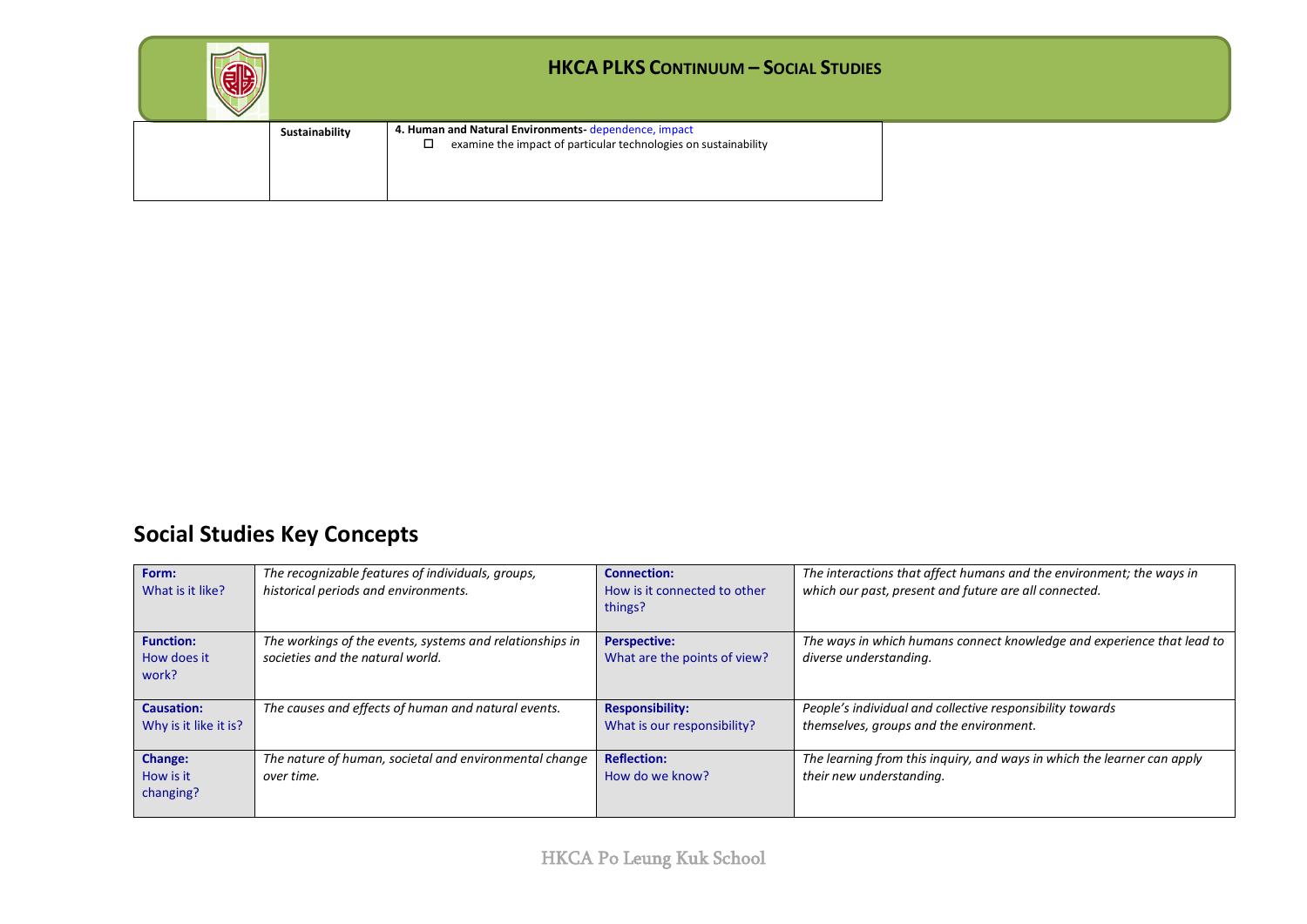|                | <b>HKCA PLKS CONTINUUM - SOCIAL STUDIES</b>                                                                             |  |
|----------------|-------------------------------------------------------------------------------------------------------------------------|--|
| Sustainability | 4. Human and Natural Environments-dependence, impact<br>examine the impact of particular technologies on sustainability |  |

# **Social Studies Key Concepts**

| Form:                 | The recognizable features of individuals, groups,        | <b>Connection:</b>           | The interactions that affect humans and the environment; the ways in    |
|-----------------------|----------------------------------------------------------|------------------------------|-------------------------------------------------------------------------|
| What is it like?      | historical periods and environments.                     | How is it connected to other | which our past, present and future are all connected.                   |
|                       |                                                          | things?                      |                                                                         |
| <b>Function:</b>      | The workings of the events, systems and relationships in | <b>Perspective:</b>          | The ways in which humans connect knowledge and experience that lead to  |
| How does it           | societies and the natural world.                         | What are the points of view? | diverse understanding.                                                  |
| work?                 |                                                          |                              |                                                                         |
|                       |                                                          |                              |                                                                         |
| <b>Causation:</b>     | The causes and effects of human and natural events.      | <b>Responsibility:</b>       | People's individual and collective responsibility towards               |
| Why is it like it is? |                                                          | What is our responsibility?  | themselves, groups and the environment.                                 |
|                       |                                                          |                              |                                                                         |
| Change:               | The nature of human, societal and environmental change   | <b>Reflection:</b>           | The learning from this inquiry, and ways in which the learner can apply |
| How is it             | over time.                                               | How do we know?              | their new understanding.                                                |
| changing?             |                                                          |                              |                                                                         |
|                       |                                                          |                              |                                                                         |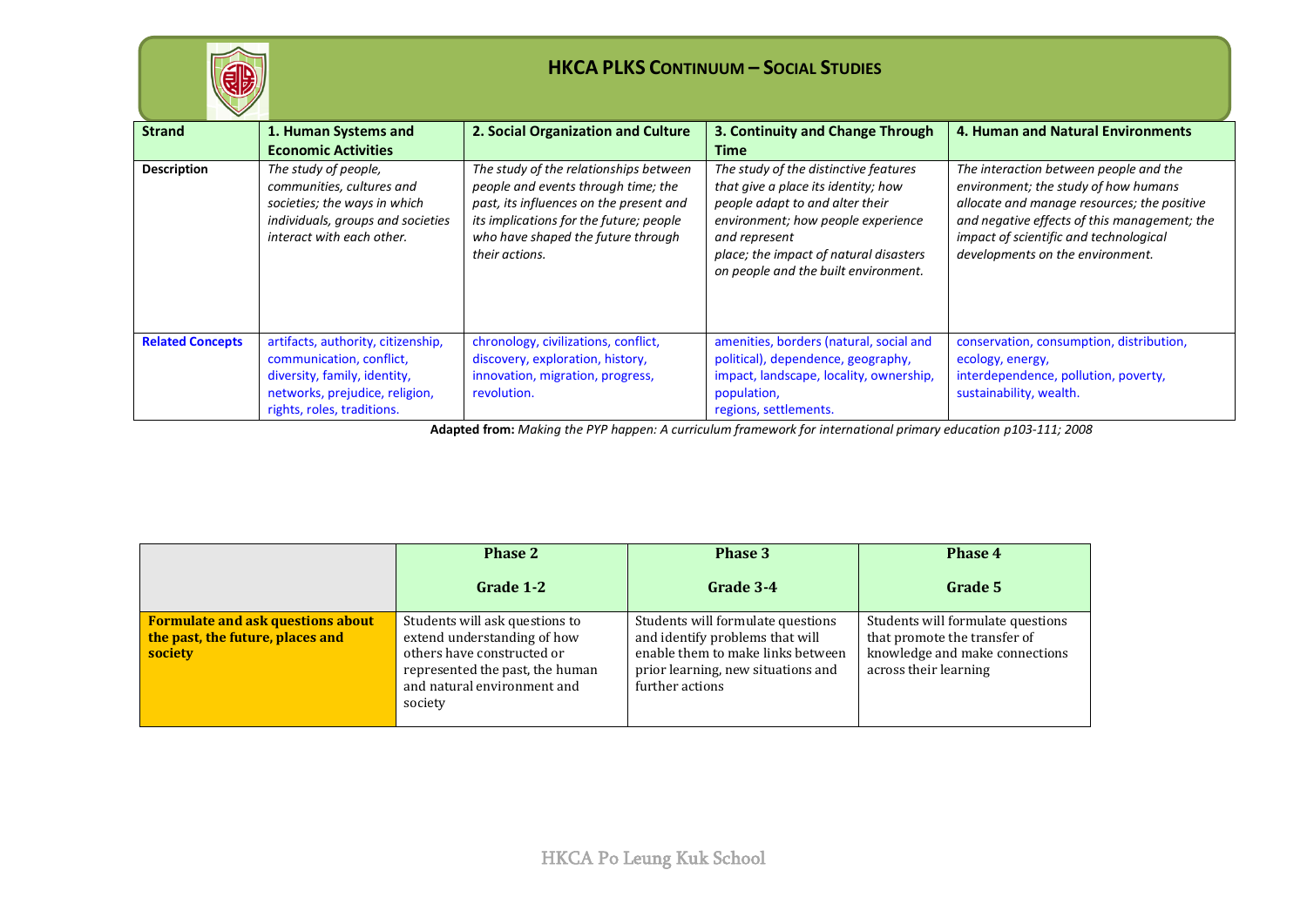

| $\checkmark$            |                                                                                                                                                                |                                                                                                                                                                                                                             |                                                                                                                                                                                                                                                          |                                                                                                                                                                                                                                                             |
|-------------------------|----------------------------------------------------------------------------------------------------------------------------------------------------------------|-----------------------------------------------------------------------------------------------------------------------------------------------------------------------------------------------------------------------------|----------------------------------------------------------------------------------------------------------------------------------------------------------------------------------------------------------------------------------------------------------|-------------------------------------------------------------------------------------------------------------------------------------------------------------------------------------------------------------------------------------------------------------|
| <b>Strand</b>           | 1. Human Systems and<br><b>Economic Activities</b>                                                                                                             | 2. Social Organization and Culture                                                                                                                                                                                          | 3. Continuity and Change Through<br>Time                                                                                                                                                                                                                 | 4. Human and Natural Environments                                                                                                                                                                                                                           |
| <b>Description</b>      | The study of people,<br>communities, cultures and<br>societies; the ways in which<br>individuals, groups and societies<br>interact with each other.            | The study of the relationships between<br>people and events through time; the<br>past, its influences on the present and<br>its implications for the future; people<br>who have shaped the future through<br>their actions. | The study of the distinctive features<br>that give a place its identity; how<br>people adapt to and alter their<br>environment; how people experience<br>and represent<br>place; the impact of natural disasters<br>on people and the built environment. | The interaction between people and the<br>environment; the study of how humans<br>allocate and manage resources; the positive<br>and negative effects of this management; the<br>impact of scientific and technological<br>developments on the environment. |
| <b>Related Concepts</b> | artifacts, authority, citizenship,<br>communication, conflict,<br>diversity, family, identity,<br>networks, prejudice, religion,<br>rights, roles, traditions. | chronology, civilizations, conflict,<br>discovery, exploration, history,<br>innovation, migration, progress,<br>revolution.                                                                                                 | amenities, borders (natural, social and<br>political), dependence, geography,<br>impact, landscape, locality, ownership,<br>population,<br>regions, settlements.                                                                                         | conservation, consumption, distribution,<br>ecology, energy,<br>interdependence, pollution, poverty,<br>sustainability, wealth.                                                                                                                             |

**Adapted from:** *Making the PYP happen: A curriculum framework for international primary education p103-111; 2008*

|                                                                                         | <b>Phase 2</b>                                                                                                                                                           | Phase 3                                                                                                                                                            | Phase 4                                                                                                                      |
|-----------------------------------------------------------------------------------------|--------------------------------------------------------------------------------------------------------------------------------------------------------------------------|--------------------------------------------------------------------------------------------------------------------------------------------------------------------|------------------------------------------------------------------------------------------------------------------------------|
|                                                                                         | Grade 1-2                                                                                                                                                                | Grade 3-4                                                                                                                                                          | Grade 5                                                                                                                      |
| <b>Formulate and ask questions about</b><br>the past, the future, places and<br>society | Students will ask questions to<br>extend understanding of how<br>others have constructed or<br>represented the past, the human<br>and natural environment and<br>society | Students will formulate questions<br>and identify problems that will<br>enable them to make links between<br>prior learning, new situations and<br>further actions | Students will formulate questions<br>that promote the transfer of<br>knowledge and make connections<br>across their learning |